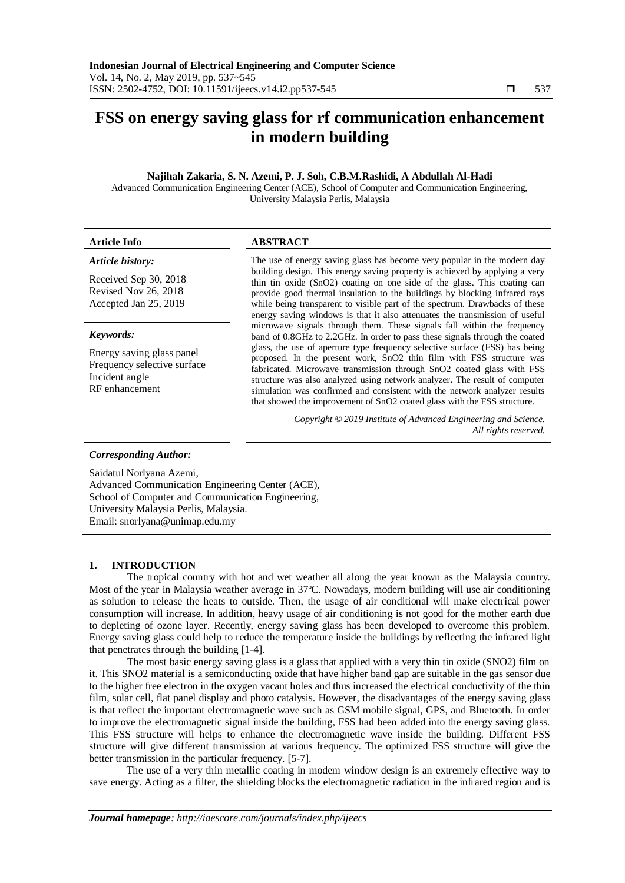# **FSS on energy saving glass for rf communication enhancement in modern building**

# **Najihah Zakaria, S. N. Azemi, P. J. Soh, C.B.M.Rashidi, A Abdullah Al-Hadi**

Advanced Communication Engineering Center (ACE), School of Computer and Communication Engineering, University Malaysia Perlis, Malaysia

| <b>Article Info</b>                                                                                       | <b>ABSTRACT</b>                                                                                                                                                                                                                                                                                                                                                                                                                                                                                                                                                                                                                                                                                                                                                                                                                                                                                                                                                                                                                                                                                                  |
|-----------------------------------------------------------------------------------------------------------|------------------------------------------------------------------------------------------------------------------------------------------------------------------------------------------------------------------------------------------------------------------------------------------------------------------------------------------------------------------------------------------------------------------------------------------------------------------------------------------------------------------------------------------------------------------------------------------------------------------------------------------------------------------------------------------------------------------------------------------------------------------------------------------------------------------------------------------------------------------------------------------------------------------------------------------------------------------------------------------------------------------------------------------------------------------------------------------------------------------|
| Article history:<br>Received Sep 30, 2018<br>Revised Nov 26, 2018<br>Accepted Jan 25, 2019                | The use of energy saving glass has become very popular in the modern day<br>building design. This energy saving property is achieved by applying a very<br>thin tin oxide (SnO2) coating on one side of the glass. This coating can<br>provide good thermal insulation to the buildings by blocking infrared rays<br>while being transparent to visible part of the spectrum. Drawbacks of these<br>energy saving windows is that it also attenuates the transmission of useful<br>microwave signals through them. These signals fall within the frequency<br>band of 0.8GHz to 2.2GHz. In order to pass these signals through the coated<br>glass, the use of aperture type frequency selective surface (FSS) has being<br>proposed. In the present work, SnO2 thin film with FSS structure was<br>fabricated. Microwave transmission through SnO2 coated glass with FSS<br>structure was also analyzed using network analyzer. The result of computer<br>simulation was confirmed and consistent with the network analyzer results<br>that showed the improvement of SnO2 coated glass with the FSS structure. |
| Keywords:<br>Energy saving glass panel<br>Frequency selective surface<br>Incident angle<br>RF enhancement |                                                                                                                                                                                                                                                                                                                                                                                                                                                                                                                                                                                                                                                                                                                                                                                                                                                                                                                                                                                                                                                                                                                  |
|                                                                                                           | Copyright © 2019 Institute of Advanced Engineering and Science.<br>All rights reserved.                                                                                                                                                                                                                                                                                                                                                                                                                                                                                                                                                                                                                                                                                                                                                                                                                                                                                                                                                                                                                          |
| Corresponding Author.                                                                                     |                                                                                                                                                                                                                                                                                                                                                                                                                                                                                                                                                                                                                                                                                                                                                                                                                                                                                                                                                                                                                                                                                                                  |

# *Corresponding Author:*

Saidatul Norlyana Azemi, Advanced Communication Engineering Center (ACE), School of Computer and Communication Engineering, University Malaysia Perlis, Malaysia. Email: snorlyana@unimap.edu.my

# **1. INTRODUCTION**

The tropical country with hot and wet weather all along the year known as the Malaysia country. Most of the year in Malaysia weather average in 37ºC. Nowadays, modern building will use air conditioning as solution to release the heats to outside. Then, the usage of air conditional will make electrical power consumption will increase. In addition, heavy usage of air conditioning is not good for the mother earth due to depleting of ozone layer. Recently, energy saving glass has been developed to overcome this problem. Energy saving glass could help to reduce the temperature inside the buildings by reflecting the infrared light that penetrates through the building [1-4].

The most basic energy saving glass is a glass that applied with a very thin tin oxide (SNO2) film on it. This SNO2 material is a semiconducting oxide that have higher band gap are suitable in the gas sensor due to the higher free electron in the oxygen vacant holes and thus increased the electrical conductivity of the thin film, solar cell, flat panel display and photo catalysis. However, the disadvantages of the energy saving glass is that reflect the important electromagnetic wave such as GSM mobile signal, GPS, and Bluetooth. In order to improve the electromagnetic signal inside the building, FSS had been added into the energy saving glass. This FSS structure will helps to enhance the electromagnetic wave inside the building. Different FSS structure will give different transmission at various frequency. The optimized FSS structure will give the better transmission in the particular frequency. [5-7].

The use of a very thin metallic coating in modem window design is an extremely effective way to save energy. Acting as a filter, the shielding blocks the electromagnetic radiation in the infrared region and is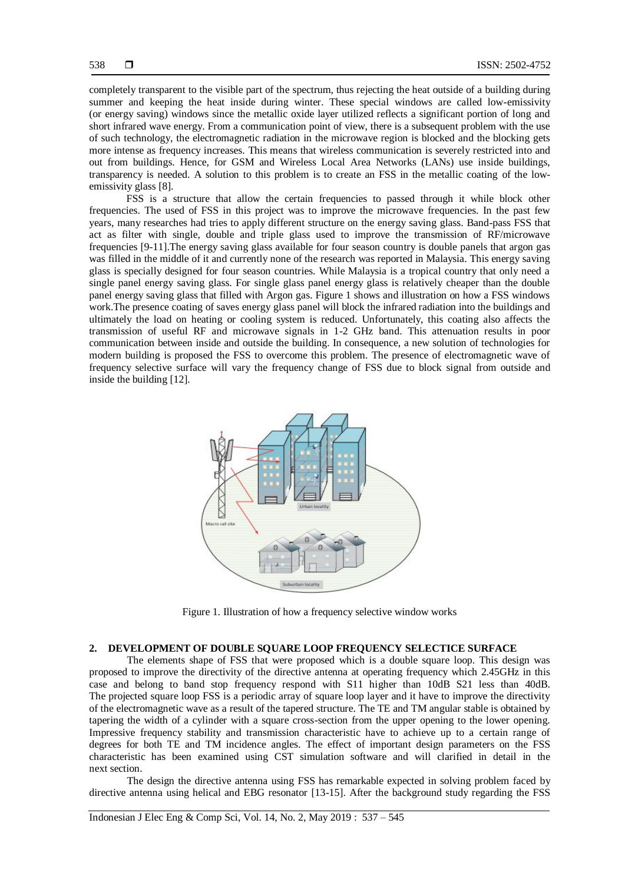completely transparent to the visible part of the spectrum, thus rejecting the heat outside of a building during summer and keeping the heat inside during winter. These special windows are called low-emissivity (or energy saving) windows since the metallic oxide layer utilized reflects a significant portion of long and short infrared wave energy. From a communication point of view, there is a subsequent problem with the use of such technology, the electromagnetic radiation in the microwave region is blocked and the blocking gets more intense as frequency increases. This means that wireless communication is severely restricted into and out from buildings. Hence, for GSM and Wireless Local Area Networks (LANs) use inside buildings, transparency is needed. A solution to this problem is to create an FSS in the metallic coating of the lowemissivity glass [8].

FSS is a structure that allow the certain frequencies to passed through it while block other frequencies. The used of FSS in this project was to improve the microwave frequencies. In the past few years, many researches had tries to apply different structure on the energy saving glass. Band-pass FSS that act as filter with single, double and triple glass used to improve the transmission of RF/microwave frequencies [9-11].The energy saving glass available for four season country is double panels that argon gas was filled in the middle of it and currently none of the research was reported in Malaysia. This energy saving glass is specially designed for four season countries. While Malaysia is a tropical country that only need a single panel energy saving glass. For single glass panel energy glass is relatively cheaper than the double panel energy saving glass that filled with Argon gas. Figure 1 shows and illustration on how a FSS windows work.The presence coating of saves energy glass panel will block the infrared radiation into the buildings and ultimately the load on heating or cooling system is reduced. Unfortunately, this coating also affects the transmission of useful RF and microwave signals in 1-2 GHz band. This attenuation results in poor communication between inside and outside the building. In consequence, a new solution of technologies for modern building is proposed the FSS to overcome this problem. The presence of electromagnetic wave of frequency selective surface will vary the frequency change of FSS due to block signal from outside and inside the building [12].



Figure 1. Illustration of how a frequency selective window works

# **2. DEVELOPMENT OF DOUBLE SQUARE LOOP FREQUENCY SELECTICE SURFACE**

The elements shape of FSS that were proposed which is a double square loop. This design was proposed to improve the directivity of the directive antenna at operating frequency which 2.45GHz in this case and belong to band stop frequency respond with S11 higher than 10dB S21 less than 40dB. The projected square loop FSS is a periodic array of square loop layer and it have to improve the directivity of the electromagnetic wave as a result of the tapered structure. The TE and TM angular stable is obtained by tapering the width of a cylinder with a square cross-section from the upper opening to the lower opening. Impressive frequency stability and transmission characteristic have to achieve up to a certain range of degrees for both TE and TM incidence angles. The effect of important design parameters on the FSS characteristic has been examined using CST simulation software and will clarified in detail in the next section.

The design the directive antenna using FSS has remarkable expected in solving problem faced by directive antenna using helical and EBG resonator [13-15]. After the background study regarding the FSS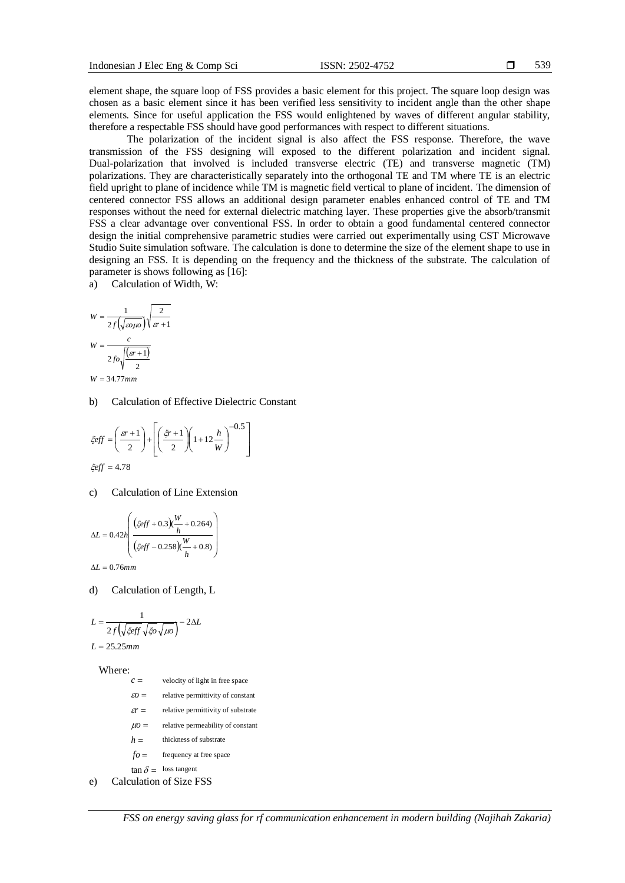element shape, the square loop of FSS provides a basic element for this project. The square loop design was chosen as a basic element since it has been verified less sensitivity to incident angle than the other shape elements. Since for useful application the FSS would enlightened by waves of different angular stability, therefore a respectable FSS should have good performances with respect to different situations.

The polarization of the incident signal is also affect the FSS response. Therefore, the wave transmission of the FSS designing will exposed to the different polarization and incident signal. Dual-polarization that involved is included transverse electric (TE) and transverse magnetic (TM) polarizations. They are characteristically separately into the orthogonal TE and TM where TE is an electric field upright to plane of incidence while TM is magnetic field vertical to plane of incident. The dimension of centered connector FSS allows an additional design parameter enables enhanced control of TE and TM responses without the need for external dielectric matching layer. These properties give the absorb/transmit FSS a clear advantage over conventional FSS. In order to obtain a good fundamental centered connector design the initial comprehensive parametric studies were carried out experimentally using CST Microwave Studio Suite simulation software. The calculation is done to determine the size of the element shape to use in designing an FSS. It is depending on the frequency and the thickness of the substrate. The calculation of parameter is shows following as [16]:

a) Calculation of Width, W:

$$
W = \frac{1}{2f(\sqrt{\omega\mu\omega})}\sqrt{\frac{2}{\omega+1}}
$$

$$
W = \frac{c}{2f\omega\sqrt{\frac{(\omega+1)}{2}}}
$$

$$
W = 34.77 \text{ mm}
$$

b) Calculation of Effective Dielectric Constant

$$
\xi eff = \left(\frac{sr+1}{2}\right) + \left[\left(\frac{\xi r+1}{2}\right)\left(1+12\frac{h}{W}\right)^{-0.5}\right]
$$
  

$$
\xi eff = 4.78
$$

c) Calculation of Line Extension

$$
\Delta L = 0.42h \left( \frac{\left(\xi \text{eff} + 0.3\right) \left(\frac{W}{h} + 0.264\right)}{\left(\xi \text{eff} - 0.258\right) \left(\frac{W}{h} + 0.8\right)} \right)
$$
  

$$
\Delta L = 0.76mm
$$

d) Calculation of Length, L

$$
L = \frac{1}{2f\left(\sqrt{\xi\text{eff}}\sqrt{\xi\text{o}}\sqrt{\mu\text{o}}\right)} - 2\Delta L
$$

 $L = 25.25$ *mm* 

Where:

 $\tan \delta = \text{loss tangent}$  *fo h*  $\mu$ o =  $\epsilon r =$  $\epsilon$ <sup>*o*</sup> = *c* e) Calculation of Size FSS velocity of light in free space relative permittivity of constant relative permittivity of substrate relative permeability of constant thickness of substrate frequency at free space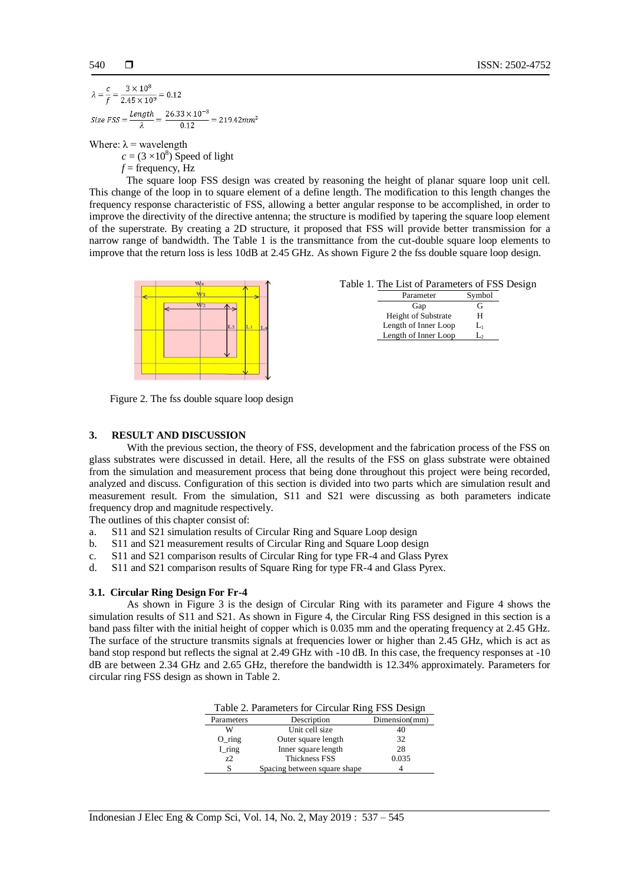$3 \times 10^8$  $\frac{3 \times 10^6}{2.45 \times 10^9} = 0.12$ Size FSS =  $\frac{Length}{1} = \frac{26.33 \times 10^{-3}}{0.12} = 219.42 mm^2$  $012$  $\overline{2}$ 

Where:  $\lambda$  = wavelength

 $c = (3 \times 10^8)$  Speed of light

 $f =$  frequency, Hz

The square loop FSS design was created by reasoning the height of planar square loop unit cell. This change of the loop in to square element of a define length. The modification to this length changes the frequency response characteristic of FSS, allowing a better angular response to be accomplished, in order to improve the directivity of the directive antenna; the structure is modified by tapering the square loop element of the superstrate. By creating a 2D structure, it proposed that FSS will provide better transmission for a narrow range of bandwidth. The Table 1 is the transmittance from the cut-double square loop elements to improve that the return loss is less 10dB at 2.45 GHz. As shown Figure 2 the fss double square loop design.



|  |  | Table 1. The List of Parameters of FSS Design |  |  |
|--|--|-----------------------------------------------|--|--|
|--|--|-----------------------------------------------|--|--|

| Parameter                  | Symbol |
|----------------------------|--------|
| Gap                        | G      |
| <b>Height of Substrate</b> | н      |
| Length of Inner Loop       | L١     |
| Length of Inner Loop       |        |

Figure 2. The fss double square loop design

# **3. RESULT AND DISCUSSION**

With the previous section, the theory of FSS, development and the fabrication process of the FSS on glass substrates were discussed in detail. Here, all the results of the FSS on glass substrate were obtained from the simulation and measurement process that being done throughout this project were being recorded, analyzed and discuss. Configuration of this section is divided into two parts which are simulation result and measurement result. From the simulation, S11 and S21 were discussing as both parameters indicate frequency drop and magnitude respectively.

The outlines of this chapter consist of:

- a. S11 and S21 simulation results of Circular Ring and Square Loop design
- b. S11 and S21 measurement results of Circular Ring and Square Loop design
- c. S11 and S21 comparison results of Circular Ring for type FR-4 and Glass Pyrex
- d. S11 and S21 comparison results of Square Ring for type FR-4 and Glass Pyrex.

# **3.1. Circular Ring Design For Fr-4**

As shown in Figure 3 is the design of Circular Ring with its parameter and Figure 4 shows the simulation results of S11 and S21. As shown in Figure 4, the Circular Ring FSS designed in this section is a band pass filter with the initial height of copper which is 0.035 mm and the operating frequency at 2.45 GHz. The surface of the structure transmits signals at frequencies lower or higher than 2.45 GHz, which is act as band stop respond but reflects the signal at 2.49 GHz with -10 dB. In this case, the frequency responses at -10 dB are between 2.34 GHz and 2.65 GHz, therefore the bandwidth is 12.34% approximately. Parameters for circular ring FSS design as shown in Table 2.

| Table 2. Parameters for Circular Ring FSS Design |                              |               |
|--------------------------------------------------|------------------------------|---------------|
| Parameters                                       | Description                  | Dimension(mm) |
| w                                                | Unit cell size               | 40            |
| $O_$ ring                                        | Outer square length          | 32            |
| $I$ <sub>ring</sub>                              | Inner square length          | 28            |
| 72                                               | <b>Thickness FSS</b>         | 0.035         |
|                                                  | Spacing between square shape |               |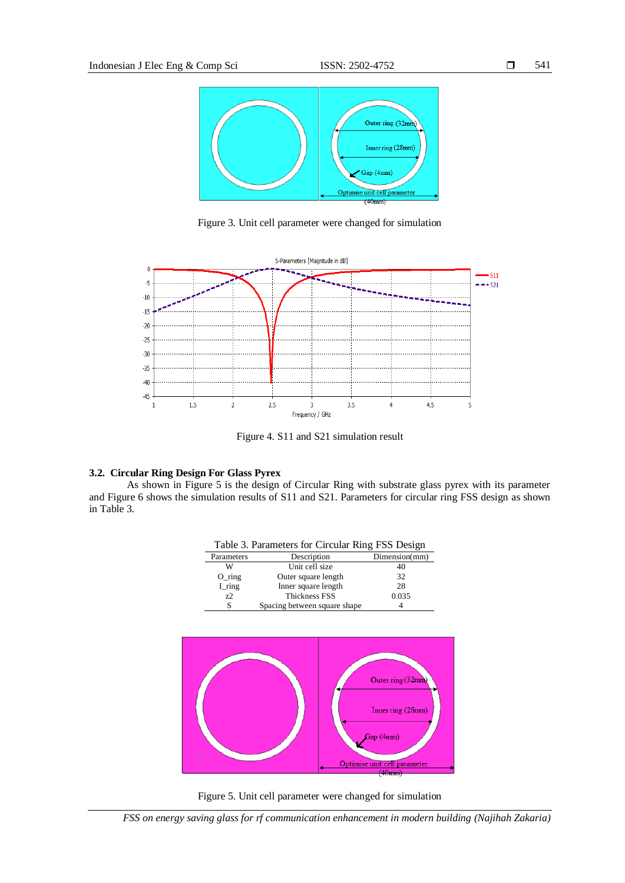

Figure 3. Unit cell parameter were changed for simulation



Figure 4. S11 and S21 simulation result

# **3.2. Circular Ring Design For Glass Pyrex**

As shown in Figure 5 is the design of Circular Ring with substrate glass pyrex with its parameter and Figure 6 shows the simulation results of S11 and S21. Parameters for circular ring FSS design as shown in Table 3.

| Table 3. Parameters for Circular Ring FSS Design |                              |               |
|--------------------------------------------------|------------------------------|---------------|
| Parameters                                       | Description                  | Dimension(mm) |
| w                                                | Unit cell size               | 40            |
| $O_$ ring                                        | Outer square length          | 32            |
| $I$ <sub>ring</sub>                              | Inner square length          | 28            |
| 7.2                                              | <b>Thickness FSS</b>         | 0.035         |
| S                                                | Spacing between square shape |               |



Figure 5. Unit cell parameter were changed for simulation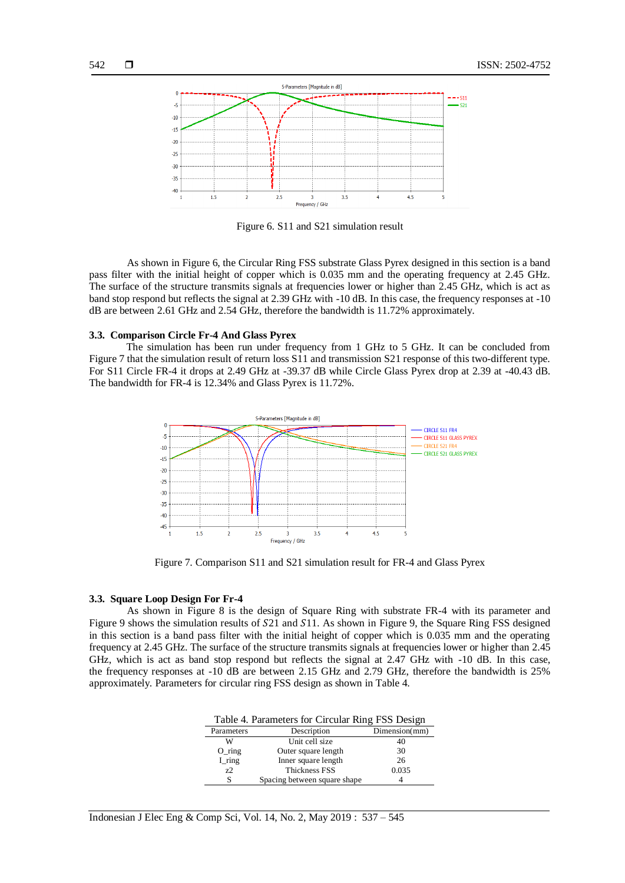

Figure 6. S11 and S21 simulation result

As shown in Figure 6, the Circular Ring FSS substrate Glass Pyrex designed in this section is a band pass filter with the initial height of copper which is 0.035 mm and the operating frequency at 2.45 GHz. The surface of the structure transmits signals at frequencies lower or higher than 2.45 GHz, which is act as band stop respond but reflects the signal at 2.39 GHz with -10 dB. In this case, the frequency responses at -10 dB are between 2.61 GHz and 2.54 GHz, therefore the bandwidth is 11.72% approximately.

#### **3.3. Comparison Circle Fr-4 And Glass Pyrex**

The simulation has been run under frequency from 1 GHz to 5 GHz. It can be concluded from Figure 7 that the simulation result of return loss S11 and transmission S21 response of this two-different type. For S11 Circle FR-4 it drops at 2.49 GHz at -39.37 dB while Circle Glass Pyrex drop at 2.39 at -40.43 dB. The bandwidth for FR-4 is 12.34% and Glass Pyrex is 11.72%.



Figure 7. Comparison S11 and S21 simulation result for FR-4 and Glass Pyrex

# **3.3. Square Loop Design For Fr-4**

As shown in Figure 8 is the design of Square Ring with substrate FR-4 with its parameter and Figure 9 shows the simulation results of S21 and S11. As shown in Figure 9, the Square Ring FSS designed in this section is a band pass filter with the initial height of copper which is 0.035 mm and the operating frequency at 2.45 GHz. The surface of the structure transmits signals at frequencies lower or higher than 2.45 GHz, which is act as band stop respond but reflects the signal at 2.47 GHz with -10 dB. In this case, the frequency responses at -10 dB are between 2.15 GHz and 2.79 GHz, therefore the bandwidth is 25% approximately. Parameters for circular ring FSS design as shown in Table 4.

| Table 4. Parameters for Circular Ring FSS Design |                              |               |
|--------------------------------------------------|------------------------------|---------------|
| Parameters                                       | Description                  | Dimension(mm) |
| W                                                | Unit cell size               | 40            |
| $O_$ ring                                        | Outer square length          | 30            |
| I_ring                                           | Inner square length          | 26            |
| 7.2                                              | <b>Thickness FSS</b>         | 0.035         |
|                                                  | Spacing between square shape |               |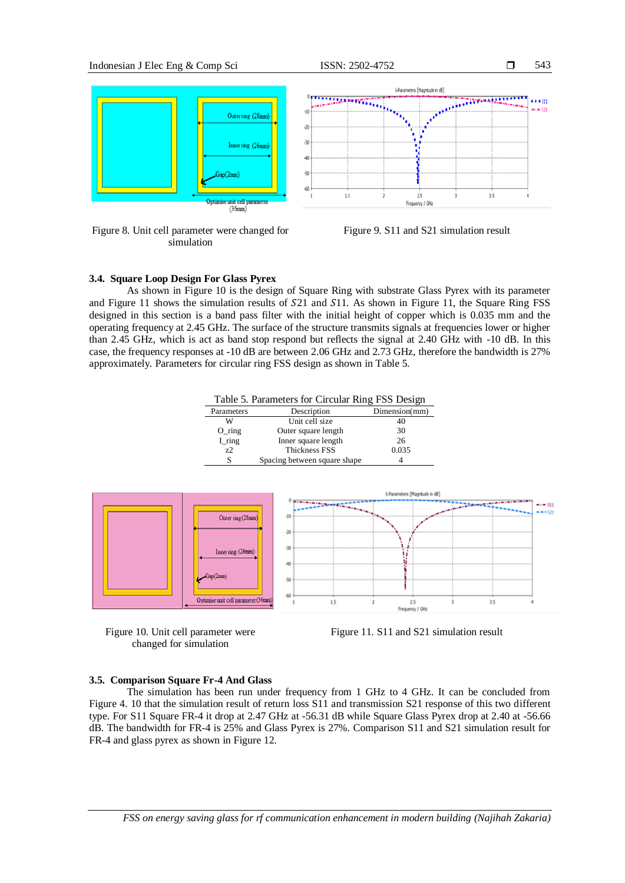

Figure 8. Unit cell parameter were changed for simulation





# **3.4. Square Loop Design For Glass Pyrex**

As shown in Figure 10 is the design of Square Ring with substrate Glass Pyrex with its parameter and Figure 11 shows the simulation results of  $S21$  and  $S11$ . As shown in Figure 11, the Square Ring FSS designed in this section is a band pass filter with the initial height of copper which is 0.035 mm and the operating frequency at 2.45 GHz. The surface of the structure transmits signals at frequencies lower or higher than 2.45 GHz, which is act as band stop respond but reflects the signal at 2.40 GHz with -10 dB. In this case, the frequency responses at -10 dB are between 2.06 GHz and 2.73 GHz, therefore the bandwidth is 27% approximately. Parameters for circular ring FSS design as shown in Table 5.

Table 5. Parameters for Circular Ring FSS Design

| Parameters | Description                  | Dimension(mm) |
|------------|------------------------------|---------------|
| w          | Unit cell size               | 40            |
| $O_$ ring  | Outer square length          | 30            |
| $I$ _ring  | Inner square length          | 26            |
| 72         | Thickness FSS                | 0.035         |
|            | Spacing between square shape |               |







# **3.5. Comparison Square Fr-4 And Glass**

The simulation has been run under frequency from 1 GHz to 4 GHz. It can be concluded from Figure 4. 10 that the simulation result of return loss S11 and transmission S21 response of this two different type. For S11 Square FR-4 it drop at 2.47 GHz at -56.31 dB while Square Glass Pyrex drop at 2.40 at -56.66 dB. The bandwidth for FR-4 is 25% and Glass Pyrex is 27%. Comparison S11 and S21 simulation result for FR-4 and glass pyrex as shown in Figure 12.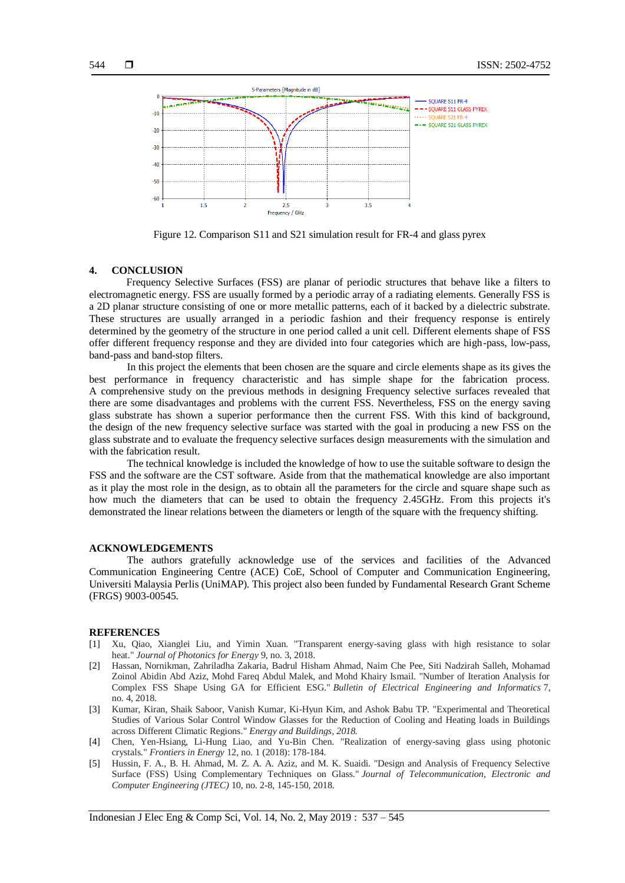

Figure 12. Comparison S11 and S21 simulation result for FR-4 and glass pyrex

# **4. CONCLUSION**

Frequency Selective Surfaces (FSS) are planar of periodic structures that behave like a filters to electromagnetic energy. FSS are usually formed by a periodic array of a radiating elements. Generally FSS is a 2D planar structure consisting of one or more metallic patterns, each of it backed by a dielectric substrate. These structures are usually arranged in a periodic fashion and their frequency response is entirely determined by the geometry of the structure in one period called a unit cell. Different elements shape of FSS offer different frequency response and they are divided into four categories which are high-pass, low-pass, band-pass and band-stop filters.

In this project the elements that been chosen are the square and circle elements shape as its gives the best performance in frequency characteristic and has simple shape for the fabrication process. A comprehensive study on the previous methods in designing Frequency selective surfaces revealed that there are some disadvantages and problems with the current FSS. Nevertheless, FSS on the energy saving glass substrate has shown a superior performance then the current FSS. With this kind of background, the design of the new frequency selective surface was started with the goal in producing a new FSS on the glass substrate and to evaluate the frequency selective surfaces design measurements with the simulation and with the fabrication result.

The technical knowledge is included the knowledge of how to use the suitable software to design the FSS and the software are the CST software. Aside from that the mathematical knowledge are also important as it play the most role in the design, as to obtain all the parameters for the circle and square shape such as how much the diameters that can be used to obtain the frequency 2.45GHz. From this projects it's demonstrated the linear relations between the diameters or length of the square with the frequency shifting.

### **ACKNOWLEDGEMENTS**

The authors gratefully acknowledge use of the services and facilities of the Advanced Communication Engineering Centre (ACE) CoE, School of Computer and Communication Engineering, Universiti Malaysia Perlis (UniMAP). This project also been funded by Fundamental Research Grant Scheme (FRGS) 9003-00545.

#### **REFERENCES**

- [1] Xu, Qiao, Xianglei Liu, and Yimin Xuan. "Transparent energy-saving glass with high resistance to solar heat." *Journal of Photonics for Energy* 9, no. 3, 2018.
- [2] Hassan, Nornikman, Zahriladha Zakaria, Badrul Hisham Ahmad, Naim Che Pee, Siti Nadzirah Salleh, Mohamad Zoinol Abidin Abd Aziz, Mohd Fareq Abdul Malek, and Mohd Khairy Ismail. "Number of Iteration Analysis for Complex FSS Shape Using GA for Efficient ESG." *Bulletin of Electrical Engineering and Informatics* 7, no. 4, 2018.
- [3] Kumar, Kiran, Shaik Saboor, Vanish Kumar, Ki-Hyun Kim, and Ashok Babu TP. "Experimental and Theoretical Studies of Various Solar Control Window Glasses for the Reduction of Cooling and Heating loads in Buildings across Different Climatic Regions." *Energy and Buildings, 2018.*
- [4] Chen, Yen-Hsiang, Li-Hung Liao, and Yu-Bin Chen. "Realization of energy-saving glass using photonic crystals." *Frontiers in Energy* 12, no. 1 (2018): 178-184.
- [5] Hussin, F. A., B. H. Ahmad, M. Z. A. A. Aziz, and M. K. Suaidi. "Design and Analysis of Frequency Selective Surface (FSS) Using Complementary Techniques on Glass." *Journal of Telecommunication, Electronic and Computer Engineering (JTEC)* 10, no. 2-8, 145-150, 2018.